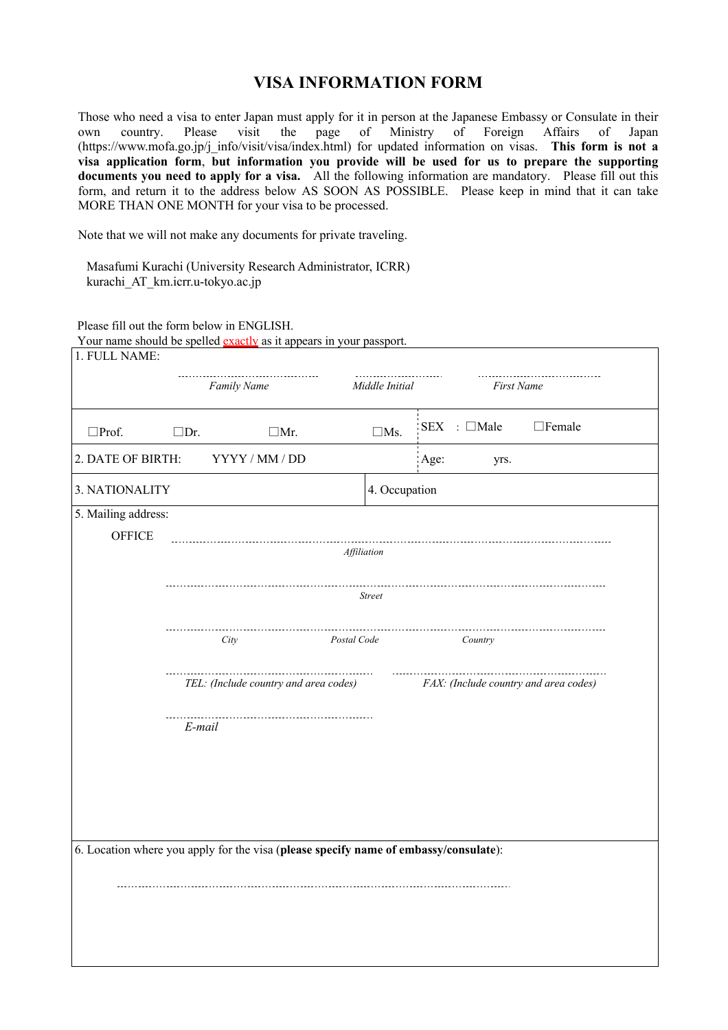## **VISA INFORMATION FORM**

Those who need a visa to enter Japan must apply for it in person at the Japanese Embassy or Consulate in their<br>own country. Please visit the page of Ministry of Foreign Affairs of Japan own country. Please visit the page of Ministry of Foreign Affairs of Japan (https://www.mofa.go.jp/j\_info/visit/visa/index.html) for updated information on visas. **This form is not a visa application form**, **but information you provide will be used for us to prepare the supporting documents you need to apply for a visa.** All the following information are mandatory. Please fill out this form, and return it to the address below AS SOON AS POSSIBLE. Please keep in mind that it can take MORE THAN ONE MONTH for your visa to be processed.

Note that we will not make any documents for private traveling.

Masafumi Kurachi (University Research Administrator, ICRR) kurachi\_AT\_km.icrr.u-tokyo.ac.jp

Please fill out the form below in ENGLISH.

|                                                                                      | Family Name                           |             | Middle Initial | <b>First Name</b>                     |               |  |  |
|--------------------------------------------------------------------------------------|---------------------------------------|-------------|----------------|---------------------------------------|---------------|--|--|
| $\square$ Prof.                                                                      | $\square$ Dr.                         | $\Box$ Mr.  | $\square$ Ms.  | $SEX$ : $\Box$ Male                   | $\Box$ Female |  |  |
| 2. DATE OF BIRTH:                                                                    | YYYY / MM / DD                        |             |                | Age:<br>yrs.                          |               |  |  |
| 3. NATIONALITY                                                                       |                                       |             | 4. Occupation  |                                       |               |  |  |
| 5. Mailing address:                                                                  |                                       |             |                |                                       |               |  |  |
| <b>OFFICE</b>                                                                        |                                       | Affiliation |                | ------------------------------------- |               |  |  |
|                                                                                      |                                       |             |                |                                       |               |  |  |
|                                                                                      |                                       |             | <b>Street</b>  |                                       |               |  |  |
|                                                                                      |                                       |             |                |                                       |               |  |  |
|                                                                                      | City                                  | Postal Code |                | Country                               |               |  |  |
|                                                                                      | TEL: (Include country and area codes) |             |                | FAX: (Include country and area codes) |               |  |  |
|                                                                                      | E-mail                                |             |                |                                       |               |  |  |
|                                                                                      |                                       |             |                |                                       |               |  |  |
|                                                                                      |                                       |             |                |                                       |               |  |  |
|                                                                                      |                                       |             |                |                                       |               |  |  |
|                                                                                      |                                       |             |                |                                       |               |  |  |
| 6. Location where you apply for the visa (please specify name of embassy/consulate): |                                       |             |                |                                       |               |  |  |
|                                                                                      |                                       |             |                |                                       |               |  |  |
|                                                                                      |                                       |             |                |                                       |               |  |  |